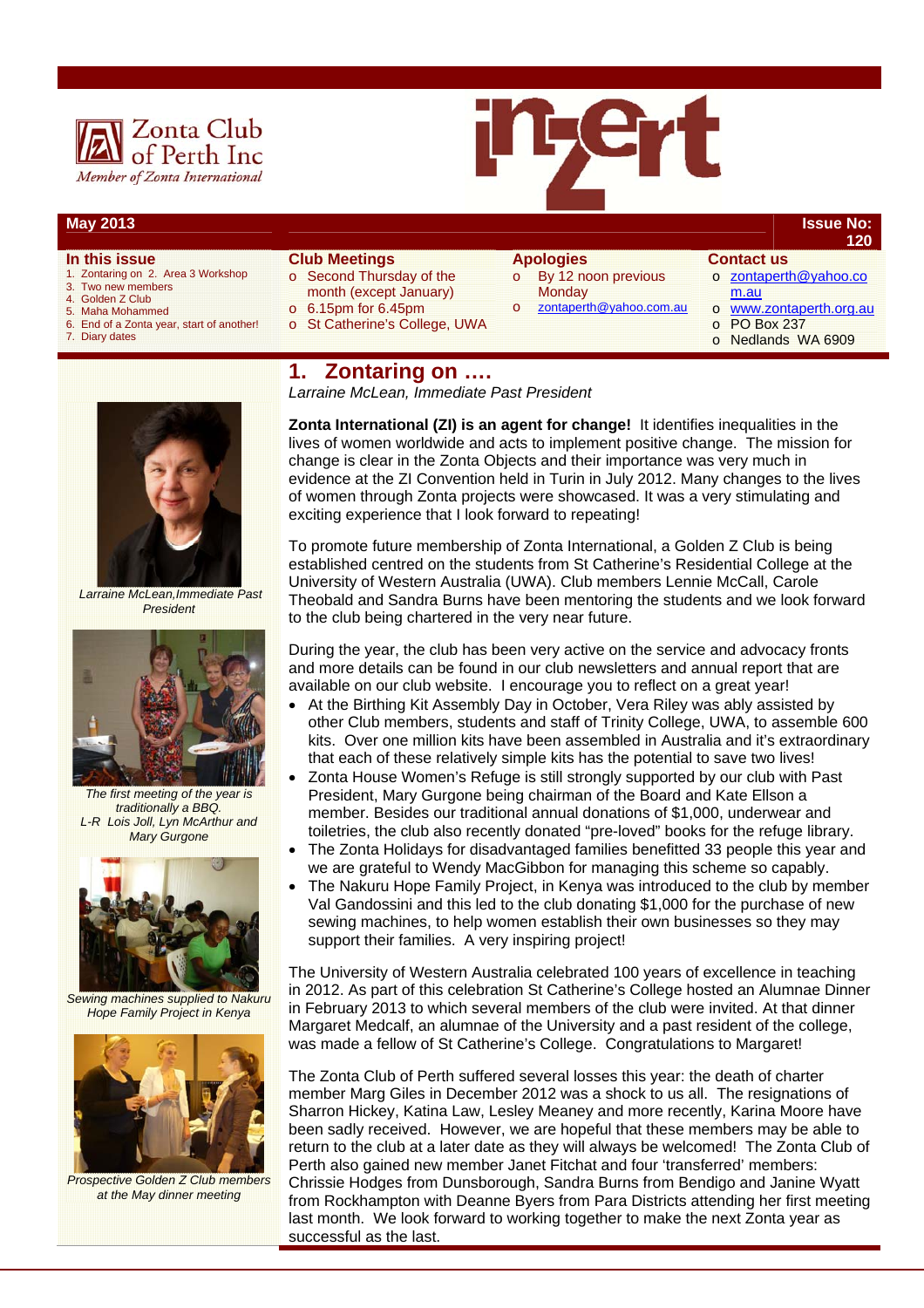



### **May 2013 Issue No:**

# **In this issue**

- 1. Zontaring on 2. Area 3 Workshop
- 3. Two new members<br>4. Golden Z Club
- 4. Golden Z Club<br>5. Maha Mohamn
- 5. Maha Mohammed
- 6. End of a Zonta year, start of another! Diary dates
- **Club Meetings**  o Second Thursday of the month (except January)  $\circ$  6.15pm for 6.45pm
	-
- o St Catherine's College, UWA
- **Apologies**  o By 12 noon previous **Monday** 
	- zontaperth@yahoo.com.au
- o zontaperth@yahoo.co m.au

**Contact us** 

**120**

- www.zontaperth.org.au o PO Box 237
- o Nedlands WA 6909
- 



*Larraine McLean, Immediate Past President* 



 *Larraine McLean,Immediate Past President* 



*The first meeting of the year is traditionally a BBQ. L-R Lois Joll, Lyn McArthur and Mary Gurgone* 



*Sewing machines supplied to Nakuru Hope Family Project in Kenya* 



*Prospective Golden Z Club members at the May dinner meeting* 

**Zonta International (ZI) is an agent for change!** It identifies inequalities in the lives of women worldwide and acts to implement positive change. The mission for change is clear in the Zonta Objects and their importance was very much in evidence at the ZI Convention held in Turin in July 2012. Many changes to the lives of women through Zonta projects were showcased. It was a very stimulating and exciting experience that I look forward to repeating!

To promote future membership of Zonta International, a Golden Z Club is being established centred on the students from St Catherine's Residential College at the University of Western Australia (UWA). Club members Lennie McCall, Carole Theobald and Sandra Burns have been mentoring the students and we look forward to the club being chartered in the very near future.

During the year, the club has been very active on the service and advocacy fronts and more details can be found in our club newsletters and annual report that are available on our club website. I encourage you to reflect on a great year!

- At the Birthing Kit Assembly Day in October, Vera Riley was ably assisted by other Club members, students and staff of Trinity College, UWA, to assemble 600 kits. Over one million kits have been assembled in Australia and it's extraordinary that each of these relatively simple kits has the potential to save two lives!
- Zonta House Women's Refuge is still strongly supported by our club with Past President, Mary Gurgone being chairman of the Board and Kate Ellson a member. Besides our traditional annual donations of \$1,000, underwear and toiletries, the club also recently donated "pre-loved" books for the refuge library.
- The Zonta Holidays for disadvantaged families benefitted 33 people this year and we are grateful to Wendy MacGibbon for managing this scheme so capably.
- The Nakuru Hope Family Project, in Kenya was introduced to the club by member Val Gandossini and this led to the club donating \$1,000 for the purchase of new sewing machines, to help women establish their own businesses so they may support their families. A very inspiring project!

The University of Western Australia celebrated 100 years of excellence in teaching in 2012. As part of this celebration St Catherine's College hosted an Alumnae Dinner in February 2013 to which several members of the club were invited. At that dinner Margaret Medcalf, an alumnae of the University and a past resident of the college, was made a fellow of St Catherine's College. Congratulations to Margaret!

The Zonta Club of Perth suffered several losses this year: the death of charter member Marg Giles in December 2012 was a shock to us all. The resignations of Sharron Hickey, Katina Law, Lesley Meaney and more recently, Karina Moore have been sadly received. However, we are hopeful that these members may be able to return to the club at a later date as they will always be welcomed! The Zonta Club of Perth also gained new member Janet Fitchat and four 'transferred' members: Chrissie Hodges from Dunsborough, Sandra Burns from Bendigo and Janine Wyatt from Rockhampton with Deanne Byers from Para Districts attending her first meeting last month. We look forward to working together to make the next Zonta year as successful as the last.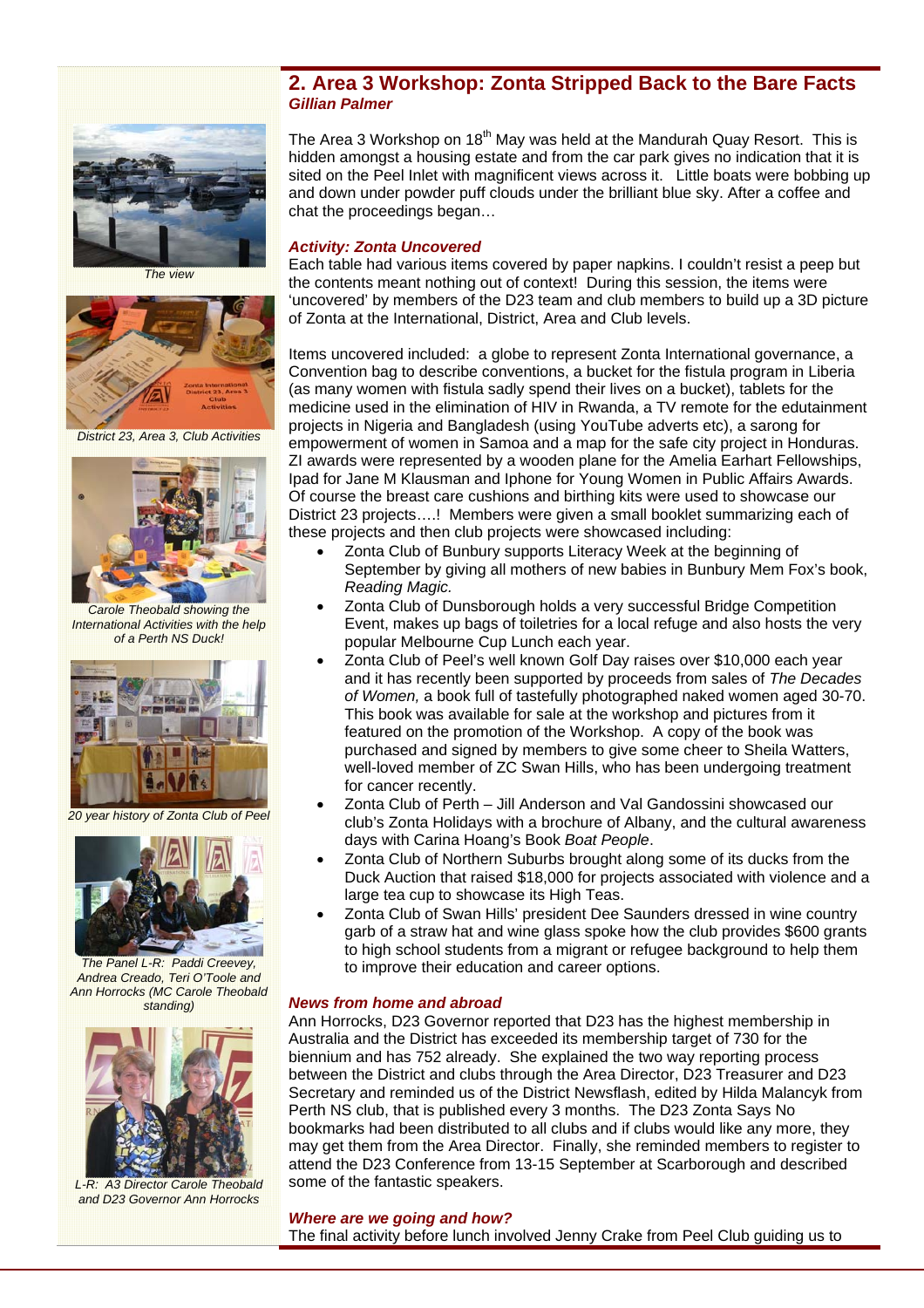

*The view* 



*District 23, Area 3, Club Activities* 



*Carole Theobald showing the International Activities with the help of a Perth NS Duck!* 



*20 year history of Zonta Club of Peel* 



*The Panel L-R: Paddi Creevey, Andrea Creado, Teri O'Toole and Ann Horrocks (MC Carole Theobald standing)* 



*L-R: A3 Director Carole Theobald and D23 Governor Ann Horrocks* 

## **2. Area 3 Workshop: Zonta Stripped Back to the Bare Facts** *Gillian Palmer*

The Area 3 Workshop on 18<sup>th</sup> May was held at the Mandurah Quay Resort. This is hidden amongst a housing estate and from the car park gives no indication that it is sited on the Peel Inlet with magnificent views across it. Little boats were bobbing up and down under powder puff clouds under the brilliant blue sky. After a coffee and chat the proceedings began…

### *Activity: Zonta Uncovered*

Each table had various items covered by paper napkins. I couldn't resist a peep but the contents meant nothing out of context! During this session, the items were 'uncovered' by members of the D23 team and club members to build up a 3D picture of Zonta at the International, District, Area and Club levels.

Items uncovered included: a globe to represent Zonta International governance, a Convention bag to describe conventions, a bucket for the fistula program in Liberia (as many women with fistula sadly spend their lives on a bucket), tablets for the medicine used in the elimination of HIV in Rwanda, a TV remote for the edutainment projects in Nigeria and Bangladesh (using YouTube adverts etc), a sarong for empowerment of women in Samoa and a map for the safe city project in Honduras. ZI awards were represented by a wooden plane for the Amelia Earhart Fellowships, Ipad for Jane M Klausman and Iphone for Young Women in Public Affairs Awards. Of course the breast care cushions and birthing kits were used to showcase our District 23 projects….! Members were given a small booklet summarizing each of these projects and then club projects were showcased including:

- Zonta Club of Bunbury supports Literacy Week at the beginning of September by giving all mothers of new babies in Bunbury Mem Fox's book, *Reading Magic.*
- Zonta Club of Dunsborough holds a very successful Bridge Competition Event, makes up bags of toiletries for a local refuge and also hosts the very popular Melbourne Cup Lunch each year.
- Zonta Club of Peel's well known Golf Day raises over \$10,000 each year and it has recently been supported by proceeds from sales of *The Decades of Women,* a book full of tastefully photographed naked women aged 30-70. This book was available for sale at the workshop and pictures from it featured on the promotion of the Workshop. A copy of the book was purchased and signed by members to give some cheer to Sheila Watters, well-loved member of ZC Swan Hills, who has been undergoing treatment for cancer recently.
- Zonta Club of Perth Jill Anderson and Val Gandossini showcased our club's Zonta Holidays with a brochure of Albany, and the cultural awareness days with Carina Hoang's Book *Boat People*.
- Zonta Club of Northern Suburbs brought along some of its ducks from the Duck Auction that raised \$18,000 for projects associated with violence and a large tea cup to showcase its High Teas.
- Zonta Club of Swan Hills' president Dee Saunders dressed in wine country garb of a straw hat and wine glass spoke how the club provides \$600 grants to high school students from a migrant or refugee background to help them to improve their education and career options.

### *News from home and abroad*

Ann Horrocks, D23 Governor reported that D23 has the highest membership in Australia and the District has exceeded its membership target of 730 for the biennium and has 752 already. She explained the two way reporting process between the District and clubs through the Area Director, D23 Treasurer and D23 Secretary and reminded us of the District Newsflash, edited by Hilda Malancyk from Perth NS club, that is published every 3 months. The D23 Zonta Says No bookmarks had been distributed to all clubs and if clubs would like any more, they may get them from the Area Director. Finally, she reminded members to register to attend the D23 Conference from 13-15 September at Scarborough and described some of the fantastic speakers.

#### *Where are we going and how?*

The final activity before lunch involved Jenny Crake from Peel Club guiding us to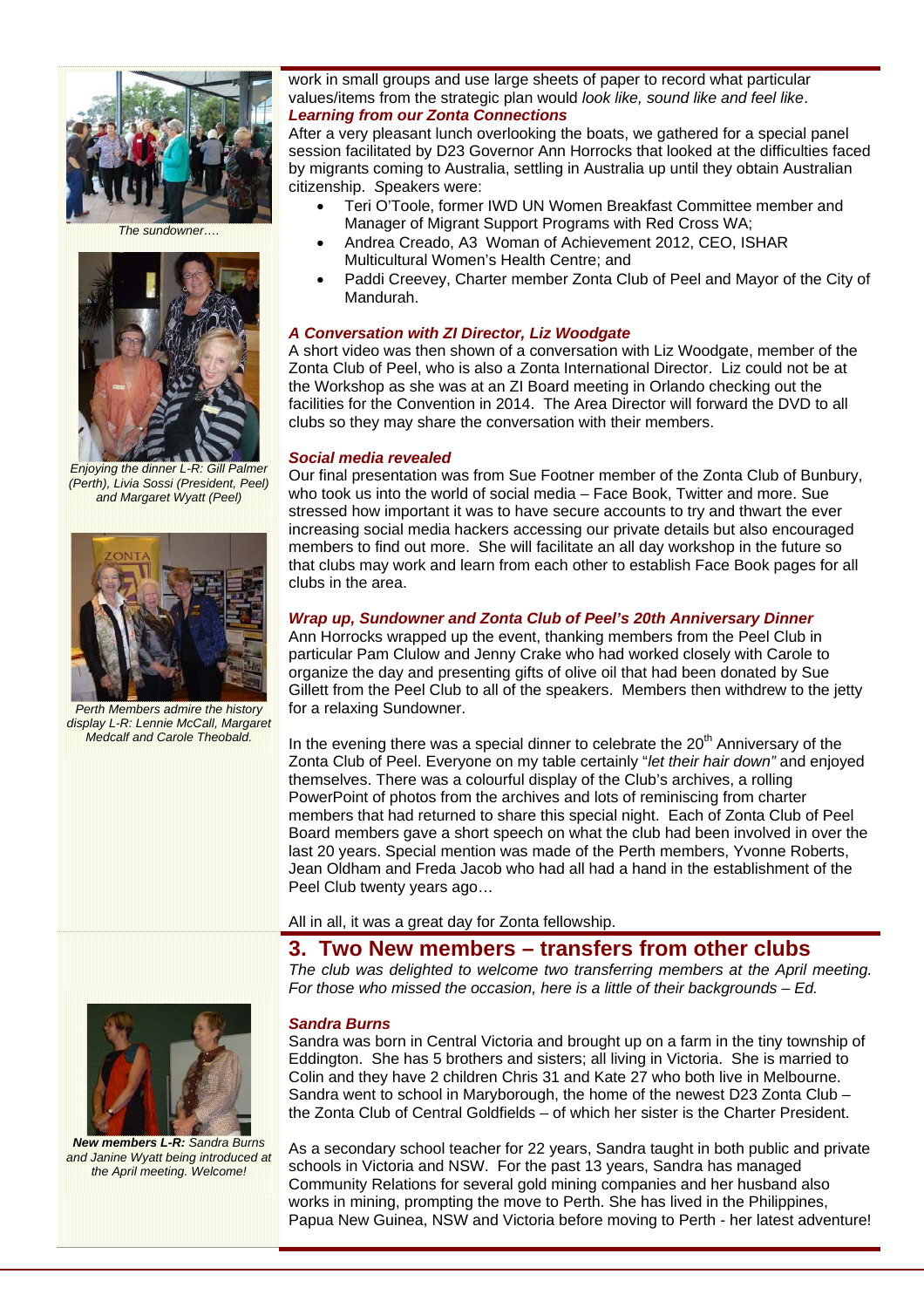

*The sundowner….* 



*Enjoying the dinner L-R: Gill Palmer (Perth), Livia Sossi (President, Peel) and Margaret Wyatt (Peel)* 



*Perth Members admire the history display L-R: Lennie McCall, Margaret Medcalf and Carole Theobald.* 

### work in small groups and use large sheets of paper to record what particular values/items from the strategic plan would *look like, sound like and feel like*. *Learning from our Zonta Connections*

After a very pleasant lunch overlooking the boats, we gathered for a special panel session facilitated by D23 Governor Ann Horrocks that looked at the difficulties faced by migrants coming to Australia, settling in Australia up until they obtain Australian citizenship. *S*peakers were:

- Teri O'Toole, former IWD UN Women Breakfast Committee member and Manager of Migrant Support Programs with Red Cross WA;
- Andrea Creado, A3 Woman of Achievement 2012, CEO, ISHAR Multicultural Women's Health Centre; and
- Paddi Creevey, Charter member Zonta Club of Peel and Mayor of the City of Mandurah.

### *A Conversation with ZI Director, Liz Woodgate*

A short video was then shown of a conversation with Liz Woodgate, member of the Zonta Club of Peel, who is also a Zonta International Director. Liz could not be at the Workshop as she was at an ZI Board meeting in Orlando checking out the facilities for the Convention in 2014. The Area Director will forward the DVD to all clubs so they may share the conversation with their members.

### *Social media revealed*

Our final presentation was from Sue Footner member of the Zonta Club of Bunbury, who took us into the world of social media – Face Book, Twitter and more. Sue stressed how important it was to have secure accounts to try and thwart the ever increasing social media hackers accessing our private details but also encouraged members to find out more. She will facilitate an all day workshop in the future so that clubs may work and learn from each other to establish Face Book pages for all clubs in the area.

### *Wrap up, Sundowner and Zonta Club of Peel's 20th Anniversary Dinner*

Ann Horrocks wrapped up the event, thanking members from the Peel Club in particular Pam Clulow and Jenny Crake who had worked closely with Carole to organize the day and presenting gifts of olive oil that had been donated by Sue Gillett from the Peel Club to all of the speakers. Members then withdrew to the jetty for a relaxing Sundowner.

In the evening there was a special dinner to celebrate the  $20<sup>th</sup>$  Anniversary of the Zonta Club of Peel. Everyone on my table certainly "*let their hair down"* and enjoyed themselves. There was a colourful display of the Club's archives, a rolling PowerPoint of photos from the archives and lots of reminiscing from charter members that had returned to share this special night. Each of Zonta Club of Peel Board members gave a short speech on what the club had been involved in over the last 20 years. Special mention was made of the Perth members, Yvonne Roberts, Jean Oldham and Freda Jacob who had all had a hand in the establishment of the Peel Club twenty years ago…

All in all, it was a great day for Zonta fellowship.

# **3. Two New members – transfers from other clubs**

*The club was delighted to welcome two transferring members at the April meeting. For those who missed the occasion, here is a little of their backgrounds – Ed.* 

#### *Sandra Burns*

Sandra was born in Central Victoria and brought up on a farm in the tiny township of Eddington. She has 5 brothers and sisters; all living in Victoria. She is married to Colin and they have 2 children Chris 31 and Kate 27 who both live in Melbourne. Sandra went to school in Maryborough, the home of the newest D23 Zonta Club – the Zonta Club of Central Goldfields – of which her sister is the Charter President.

As a secondary school teacher for 22 years, Sandra taught in both public and private schools in Victoria and NSW. For the past 13 years, Sandra has managed Community Relations for several gold mining companies and her husband also works in mining, prompting the move to Perth. She has lived in the Philippines, Papua New Guinea, NSW and Victoria before moving to Perth - her latest adventure!



*New members L-R: Sandra Burns and Janine Wyatt being introduced at the April meeting. Welcome!*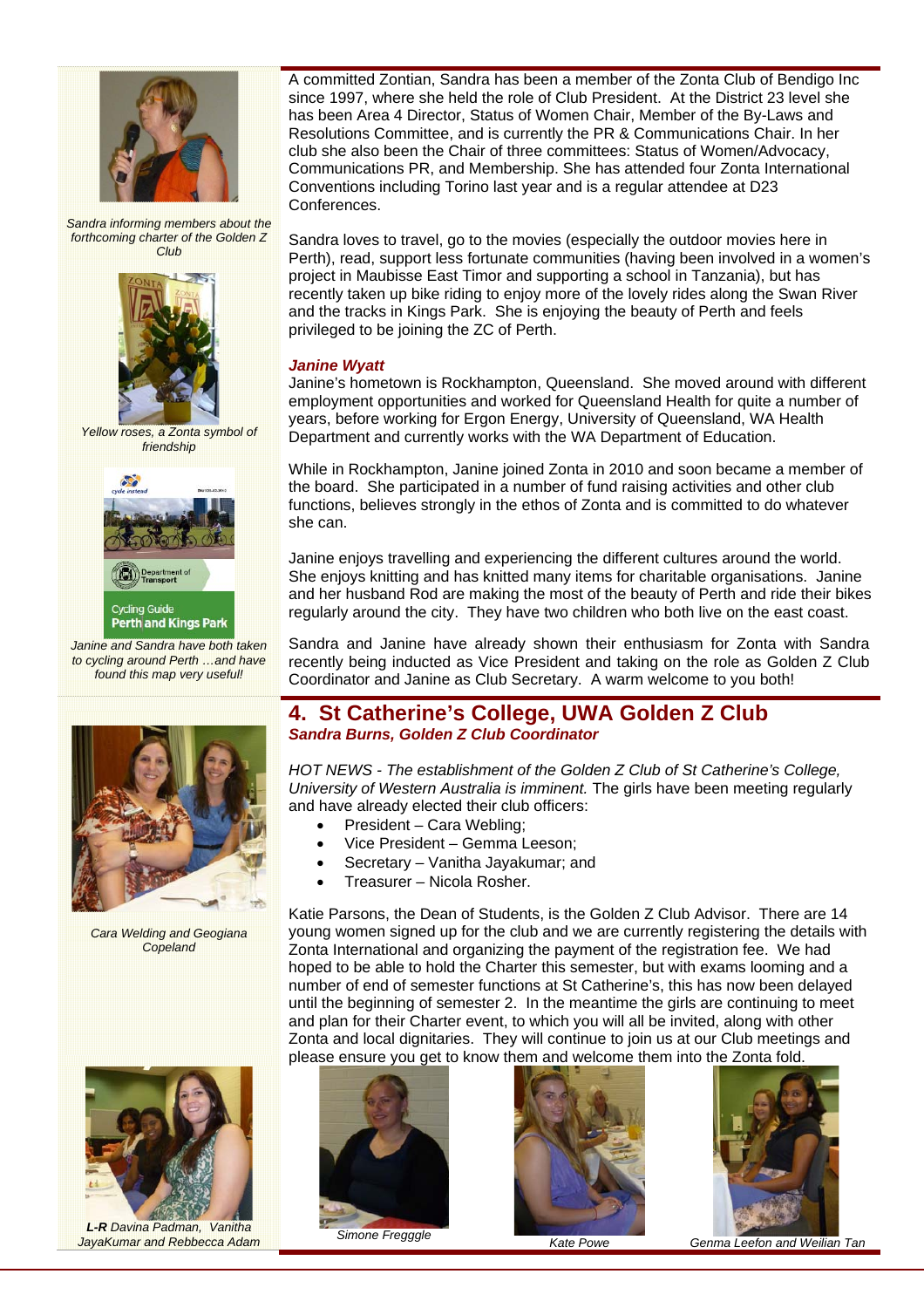

*Sandra informing members about the forthcoming charter of the Golden Z Club* 



*Yellow roses, a Zonta symbol of friendship* 



*Janine and Sandra have both taken to cycling around Perth …and have found this map very useful!* 



*Cara Welding and Geogiana Copeland* 



*L-R Davina Padman, Vanitha Jaya Kumar and Rebbecca Adam Simone Fregggle**by a and Mate Powe Genma Leefon and Weilian Tan algebra and Weilian Tan algebra and Weilian Tan* 

A committed Zontian, Sandra has been a member of the Zonta Club of Bendigo Inc since 1997, where she held the role of Club President. At the District 23 level she has been Area 4 Director, Status of Women Chair, Member of the By-Laws and Resolutions Committee, and is currently the PR & Communications Chair. In her club she also been the Chair of three committees: Status of Women/Advocacy, Communications PR, and Membership. She has attended four Zonta International Conventions including Torino last year and is a regular attendee at D23 Conferences.

Sandra loves to travel, go to the movies (especially the outdoor movies here in Perth), read, support less fortunate communities (having been involved in a women's project in Maubisse East Timor and supporting a school in Tanzania), but has recently taken up bike riding to enjoy more of the lovely rides along the Swan River and the tracks in Kings Park. She is enjoying the beauty of Perth and feels privileged to be joining the ZC of Perth.

## *Janine Wyatt*

Janine's hometown is Rockhampton, Queensland. She moved around with different employment opportunities and worked for Queensland Health for quite a number of years, before working for Ergon Energy, University of Queensland, WA Health Department and currently works with the WA Department of Education.

While in Rockhampton, Janine joined Zonta in 2010 and soon became a member of the board. She participated in a number of fund raising activities and other club functions, believes strongly in the ethos of Zonta and is committed to do whatever she can.

Janine enjoys travelling and experiencing the different cultures around the world. She enjoys knitting and has knitted many items for charitable organisations. Janine and her husband Rod are making the most of the beauty of Perth and ride their bikes regularly around the city. They have two children who both live on the east coast.

Sandra and Janine have already shown their enthusiasm for Zonta with Sandra recently being inducted as Vice President and taking on the role as Golden Z Club Coordinator and Janine as Club Secretary. A warm welcome to you both!

## **4. St Catherine's College, UWA Golden Z Club**  *Sandra Burns, Golden Z Club Coordinator*

*HOT NEWS - The establishment of the Golden Z Club of St Catherine's College, University of Western Australia is imminent.* The girls have been meeting regularly and have already elected their club officers:

- President Cara Webling;
- Vice President Gemma Leeson;
- Secretary Vanitha Jayakumar; and
- Treasurer Nicola Rosher.

Katie Parsons, the Dean of Students, is the Golden Z Club Advisor. There are 14 young women signed up for the club and we are currently registering the details with Zonta International and organizing the payment of the registration fee. We had hoped to be able to hold the Charter this semester, but with exams looming and a number of end of semester functions at St Catherine's, this has now been delayed until the beginning of semester 2. In the meantime the girls are continuing to meet and plan for their Charter event, to which you will all be invited, along with other Zonta and local dignitaries. They will continue to join us at our Club meetings and please ensure you get to know them and welcome them into the Zonta fold.





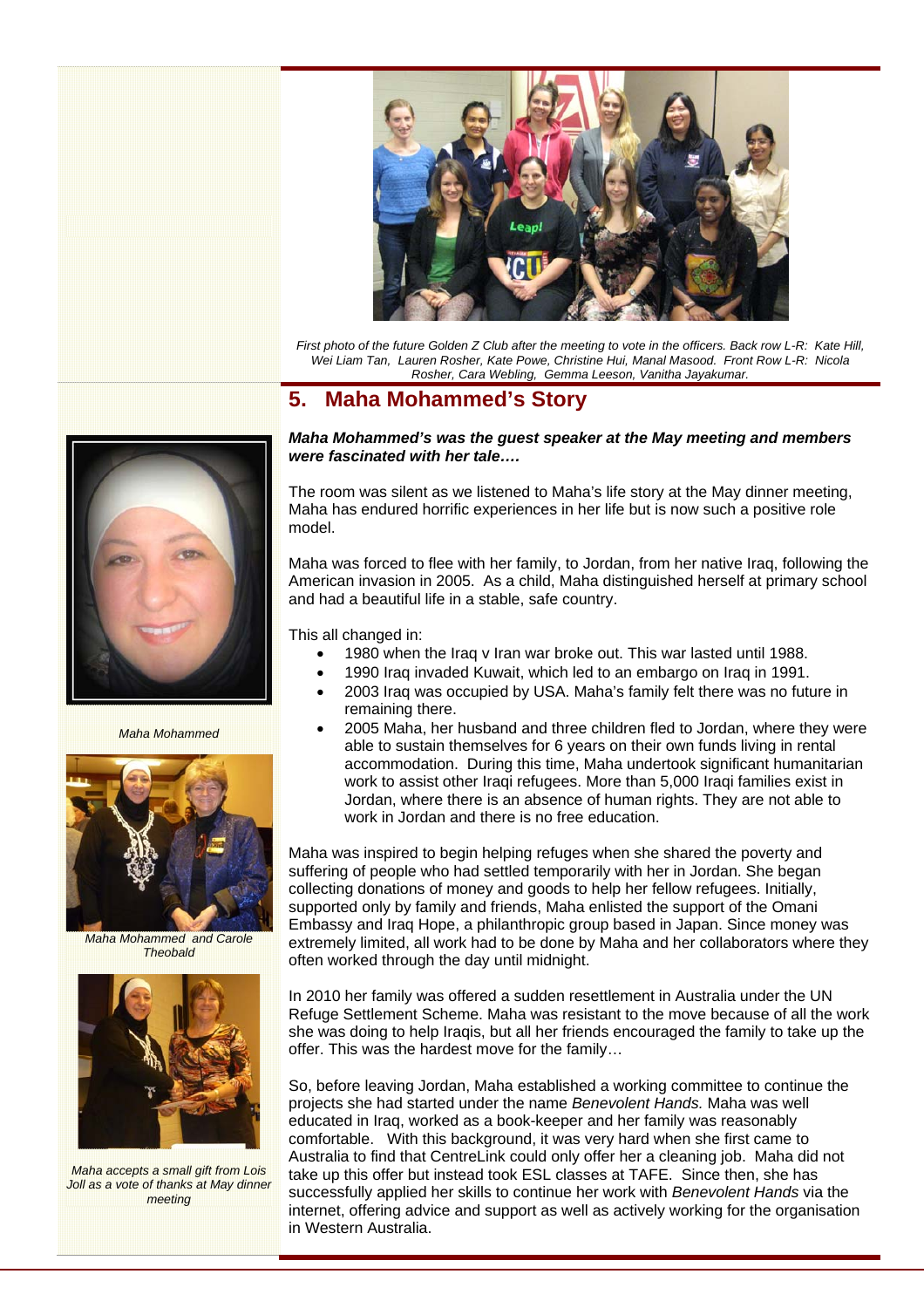

*First photo of the future Golden Z Club after the meeting to vote in the officers. Back row L-R: Kate Hill, Wei Liam Tan, Lauren Rosher, Kate Powe, Christine Hui, Manal Masood. Front Row L-R: Nicola Rosher, Cara Webling, Gemma Leeson, Vanitha Jayakumar.* 

# **5. Maha Mohammed's Story**



*Maha Mohammed* 



*Maha Mohammed and Carole Theobald* 



*Maha accepts a small gift from Lois Joll as a vote of thanks at May dinner meeting* 

### *Maha Mohammed's was the guest speaker at the May meeting and members were fascinated with her tale….*

The room was silent as we listened to Maha's life story at the May dinner meeting, Maha has endured horrific experiences in her life but is now such a positive role

Maha was forced to flee with her family, to Jordan, from her native Iraq, following the American invasion in 2005. As a child, Maha distinguished herself at primary school and had a beautiful life in a stable, safe country.

This all changed in:

- 1980 when the Iraq v Iran war broke out. This war lasted until 1988.
- 1990 Iraq invaded Kuwait, which led to an embargo on Iraq in 1991.
- 2003 Iraq was occupied by USA. Maha's family felt there was no future in remaining there.
- 2005 Maha, her husband and three children fled to Jordan, where they were able to sustain themselves for 6 years on their own funds living in rental accommodation. During this time, Maha undertook significant humanitarian work to assist other Iraqi refugees. More than 5,000 Iraqi families exist in Jordan, where there is an absence of human rights. They are not able to work in Jordan and there is no free education.

Maha was inspired to begin helping refuges when she shared the poverty and suffering of people who had settled temporarily with her in Jordan. She began collecting donations of money and goods to help her fellow refugees. Initially, supported only by family and friends, Maha enlisted the support of the Omani Embassy and Iraq Hope, a philanthropic group based in Japan. Since money was extremely limited, all work had to be done by Maha and her collaborators where they often worked through the day until midnight.

In 2010 her family was offered a sudden resettlement in Australia under the UN Refuge Settlement Scheme. Maha was resistant to the move because of all the work she was doing to help Iraqis, but all her friends encouraged the family to take up the offer. This was the hardest move for the family…

So, before leaving Jordan, Maha established a working committee to continue the projects she had started under the name *Benevolent Hands.* Maha was well educated in Iraq, worked as a book-keeper and her family was reasonably comfortable. With this background, it was very hard when she first came to Australia to find that CentreLink could only offer her a cleaning job. Maha did not take up this offer but instead took ESL classes at TAFE. Since then, she has successfully applied her skills to continue her work with *Benevolent Hands* via the internet, offering advice and support as well as actively working for the organisation in Western Australia.